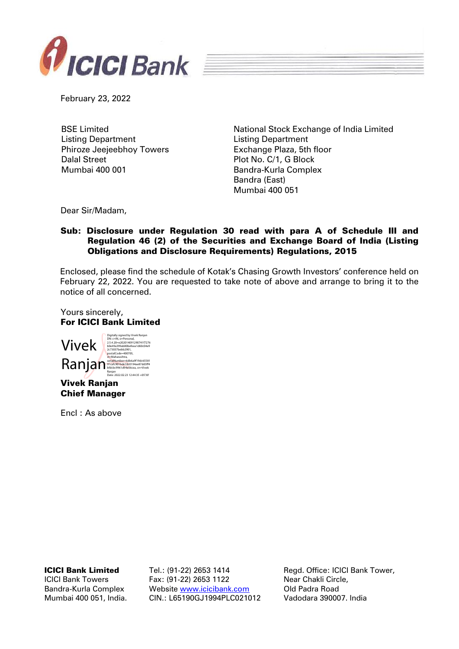

February 23, 2022

BSE Limited Listing Department Phiroze Jeejeebhoy Towers Dalal Street Mumbai 400 001

National Stock Exchange of India Limited Listing Department Exchange Plaza, 5th floor Plot No. C/1, G Block Bandra-Kurla Complex Bandra (East) Mumbai 400 051

Dear Sir/Madam,

## Sub: Disclosure under Regulation 30 read with para A of Schedule III and Regulation 46 (2) of the Securities and Exchange Board of India (Listing Obligations and Disclosure Requirements) Regulations, 2015

Enclosed, please find the schedule of Kotak's Chasing Growth Investors' conference held on February 22, 2022. You are requested to take note of above and arrange to bring it to the notice of all concerned.

Yours sincerely, For ICICI Bank Limited

Vivek Ranjan Vivek Ranjan Digitally signed by Vivek Ranjan DN: c=IN, o=Personal, 2.5.4.20=e202014091290741f7276 b0e49a399ab80befeea1d60c04e9 2c73037bebb2901, postalCode=400705, st=Maharashtra,<br>serialNumber=6db6a9f19dc65581<br>91cafc901bde18c0194ae87dd3ff4<br>bfdcbc9961d94e56cea, cn=Vivek Ranjan Date: 2022.02.23 12:44:35 +05'30'

Chief Manager

Encl : As above

ICICI Bank Limited

ICICI Bank Towers Bandra-Kurla Complex Mumbai 400 051, India. Tel.: (91-22) 2653 1414 Fax: (91-22) 2653 1122 Website [www.icicibank.com](http://www.icicibank.com/) CIN.: L65190GJ1994PLC021012

Regd. Office: ICICI Bank Tower, Near Chakli Circle, Old Padra Road Vadodara 390007. India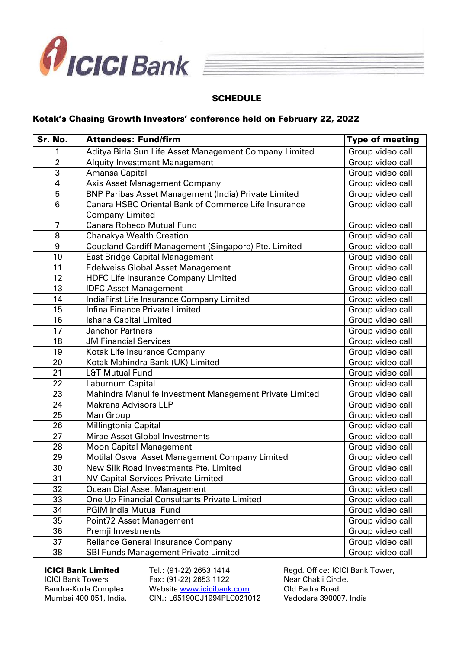

## **SCHEDULE**

## Kotak's Chasing Growth Investors' conference held on February 22, 2022

| Sr. No.         | <b>Attendees: Fund/firm</b>                                                    | <b>Type of meeting</b> |
|-----------------|--------------------------------------------------------------------------------|------------------------|
|                 | Aditya Birla Sun Life Asset Management Company Limited                         | Group video call       |
| $\overline{2}$  | <b>Alquity Investment Management</b>                                           | Group video call       |
| 3               | Amansa Capital                                                                 | Group video call       |
| 4               | <b>Axis Asset Management Company</b>                                           | Group video call       |
| 5               | <b>BNP Paribas Asset Management (India) Private Limited</b>                    | Group video call       |
| $6\phantom{1}6$ | Canara HSBC Oriental Bank of Commerce Life Insurance<br><b>Company Limited</b> | Group video call       |
| $\overline{7}$  | <b>Canara Robeco Mutual Fund</b>                                               | Group video call       |
| 8               | Chanakya Wealth Creation                                                       | Group video call       |
| 9               | Coupland Cardiff Management (Singapore) Pte. Limited                           | Group video call       |
| 10              | East Bridge Capital Management                                                 | Group video call       |
| 11              | <b>Edelweiss Global Asset Management</b>                                       | Group video call       |
| 12              | <b>HDFC</b> Life Insurance Company Limited                                     | Group video call       |
| 13              | <b>IDFC Asset Management</b>                                                   | Group video call       |
| 14              | IndiaFirst Life Insurance Company Limited                                      | Group video call       |
| 15              | Infina Finance Private Limited                                                 | Group video call       |
| 16              | Ishana Capital Limited                                                         | Group video call       |
| 17              | <b>Janchor Partners</b>                                                        | Group video call       |
| 18              | <b>JM Financial Services</b>                                                   | Group video call       |
| 19              | Kotak Life Insurance Company                                                   | Group video call       |
| 20              | Kotak Mahindra Bank (UK) Limited                                               | Group video call       |
| 21              | L&T Mutual Fund                                                                | Group video call       |
| 22              | Laburnum Capital                                                               | Group video call       |
| 23              | Mahindra Manulife Investment Management Private Limited                        | Group video call       |
| 24              | <b>Makrana Advisors LLP</b>                                                    | Group video call       |
| 25              | Man Group                                                                      | Group video call       |
| 26              | Millingtonia Capital                                                           | Group video call       |
| 27              | Mirae Asset Global Investments                                                 | Group video call       |
| 28              | <b>Moon Capital Management</b>                                                 | Group video call       |
| 29              | Motilal Oswal Asset Management Company Limited                                 | Group video call       |
| 30              | New Silk Road Investments Pte. Limited                                         | Group video call       |
| 31              | <b>NV Capital Services Private Limited</b>                                     | Group video call       |
| 32              | Ocean Dial Asset Management                                                    | Group video call       |
| 33              | One Up Financial Consultants Private Limited                                   | Group video call       |
| 34              | <b>PGIM India Mutual Fund</b>                                                  | Group video call       |
| 35              | Point72 Asset Management                                                       | Group video call       |
| 36              | Premji Investments                                                             | Group video call       |
| 37              | Reliance General Insurance Company                                             | Group video call       |
| 38              | SBI Funds Management Private Limited                                           | Group video call       |

ICICI Bank Limited

ICICI Bank Towers Bandra-Kurla Complex Mumbai 400 051, India.

Tel.: (91-22) 2653 1414 Fax: (91-22) 2653 1122 Website [www.icicibank.com](http://www.icicibank.com/) CIN.: L65190GJ1994PLC021012 Regd. Office: ICICI Bank Tower, Near Chakli Circle, Old Padra Road Vadodara 390007. India